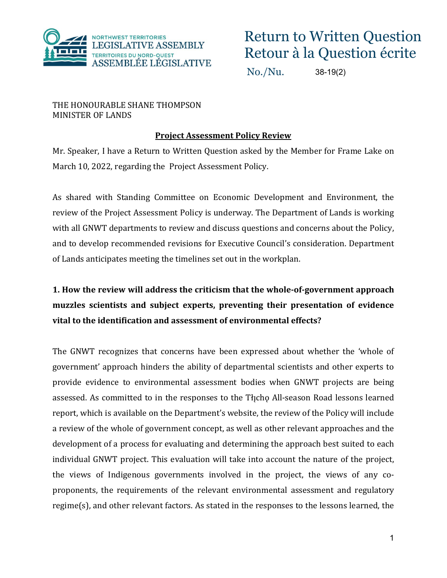

No./Nu. 38-19(2)

THE HONOURABLE SHANE THOMPSON MINISTER OF LANDS

### **Project Assessment Policy Review**

Mr. Speaker, I have a Return to Written Question asked by the Member for Frame Lake on March 10, 2022, regarding the Project Assessment Policy.

As shared with Standing Committee on Economic Development and Environment, the review of the Project Assessment Policy is underway. The Department of Lands is working with all GNWT departments to review and discuss questions and concerns about the Policy, and to develop recommended revisions for Executive Council's consideration. Department of Lands anticipates meeting the timelines set out in the workplan.

# **1. How the review will address the criticism that the whole-of-government approach muzzles scientists and subject experts, preventing their presentation of evidence vital to the identification and assessment of environmental effects?**

The GNWT recognizes that concerns have been expressed about whether the 'whole of government' approach hinders the ability of departmental scientists and other experts to provide evidence to environmental assessment bodies when GNWT projects are being assessed. As committed to in the responses to the Tłįcho All-season Road lessons learned report, which is available on the Department's website, the review of the Policy will include a review of the whole of government concept, as well as other relevant approaches and the development of a process for evaluating and determining the approach best suited to each individual GNWT project. This evaluation will take into account the nature of the project, the views of Indigenous governments involved in the project, the views of any coproponents, the requirements of the relevant environmental assessment and regulatory regime(s), and other relevant factors. As stated in the responses to the lessons learned, the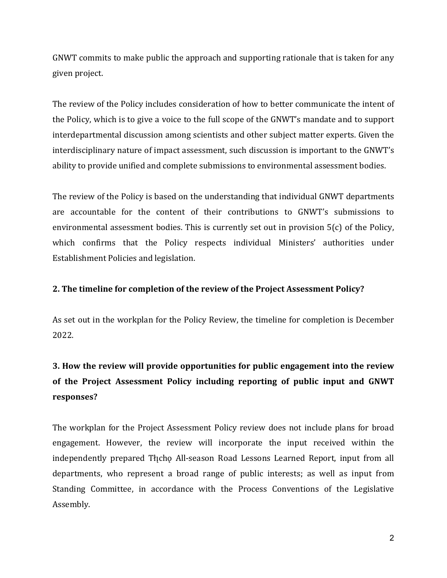GNWT commits to make public the approach and supporting rationale that is taken for any given project.

The review of the Policy includes consideration of how to better communicate the intent of the Policy, which is to give a voice to the full scope of the GNWT's mandate and to support interdepartmental discussion among scientists and other subject matter experts. Given the interdisciplinary nature of impact assessment, such discussion is important to the GNWT's ability to provide unified and complete submissions to environmental assessment bodies.

The review of the Policy is based on the understanding that individual GNWT departments are accountable for the content of their contributions to GNWT's submissions to environmental assessment bodies. This is currently set out in provision 5(c) of the Policy, which confirms that the Policy respects individual Ministers' authorities under Establishment Policies and legislation.

#### **2. The timeline for completion of the review of the Project Assessment Policy?**

As set out in the workplan for the Policy Review, the timeline for completion is December 2022.

## **3. How the review will provide opportunities for public engagement into the review of the Project Assessment Policy including reporting of public input and GNWT responses?**

The workplan for the Project Assessment Policy review does not include plans for broad engagement. However, the review will incorporate the input received within the independently prepared Thcho All-season Road Lessons Learned Report, input from all departments, who represent a broad range of public interests; as well as input from Standing Committee, in accordance with the Process Conventions of the Legislative Assembly.